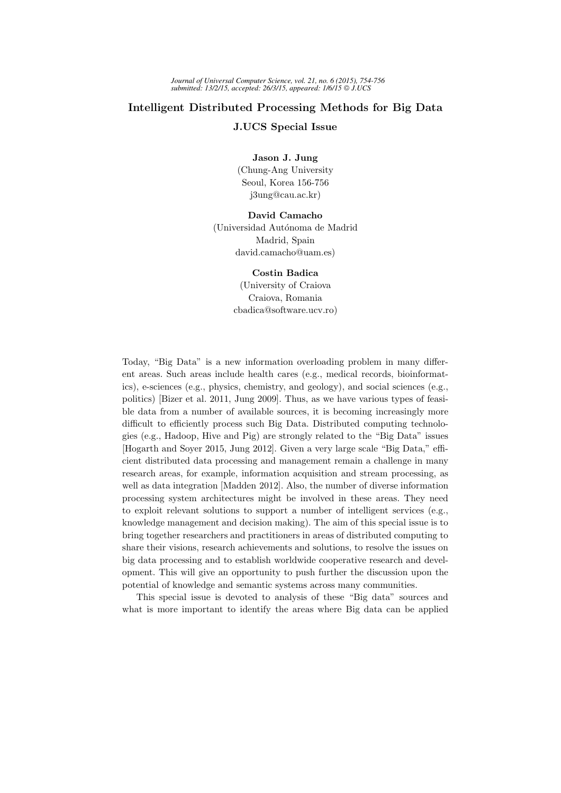## Intelligent Distributed Processing Methods for Big Data

J.UCS Special Issue

Jason J. Jung

(Chung-Ang University Seoul, Korea 156-756 j3ung@cau.ac.kr)

David Camacho (Universidad Autónoma de Madrid Madrid, Spain david.camacho@uam.es)

Costin Badica

(University of Craiova Craiova, Romania cbadica@software.ucv.ro)

Today, "Big Data" is a new information overloading problem in many different areas. Such areas include health cares (e.g., medical records, bioinformatics), e-sciences (e.g., physics, chemistry, and geology), and social sciences (e.g., politics) [Bizer et al. 2011, Jung 2009]. Thus, as we have various types of feasible data from a number of available sources, it is becoming increasingly more difficult to efficiently process such Big Data. Distributed computing technologies (e.g., Hadoop, Hive and Pig) are strongly related to the "Big Data" issues [Hogarth and Soyer 2015, Jung 2012]. Given a very large scale "Big Data," efficient distributed data processing and management remain a challenge in many research areas, for example, information acquisition and stream processing, as well as data integration [Madden 2012]. Also, the number of diverse information processing system architectures might be involved in these areas. They need to exploit relevant solutions to support a number of intelligent services (e.g., knowledge management and decision making). The aim of this special issue is to bring together researchers and practitioners in areas of distributed computing to share their visions, research achievements and solutions, to resolve the issues on big data processing and to establish worldwide cooperative research and development. This will give an opportunity to push further the discussion upon the potential of knowledge and semantic systems across many communities.

This special issue is devoted to analysis of these "Big data" sources and what is more important to identify the areas where Big data can be applied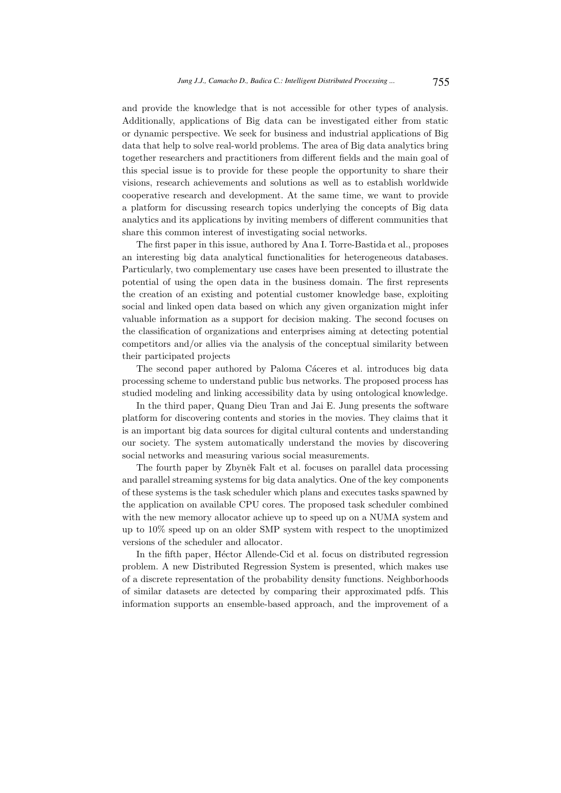and provide the knowledge that is not accessible for other types of analysis. Additionally, applications of Big data can be investigated either from static or dynamic perspective. We seek for business and industrial applications of Big data that help to solve real-world problems. The area of Big data analytics bring together researchers and practitioners from different fields and the main goal of this special issue is to provide for these people the opportunity to share their visions, research achievements and solutions as well as to establish worldwide cooperative research and development. At the same time, we want to provide a platform for discussing research topics underlying the concepts of Big data analytics and its applications by inviting members of different communities that share this common interest of investigating social networks.

The first paper in this issue, authored by Ana I. Torre-Bastida et al., proposes an interesting big data analytical functionalities for heterogeneous databases. Particularly, two complementary use cases have been presented to illustrate the potential of using the open data in the business domain. The first represents the creation of an existing and potential customer knowledge base, exploiting social and linked open data based on which any given organization might infer valuable information as a support for decision making. The second focuses on the classification of organizations and enterprises aiming at detecting potential competitors and/or allies via the analysis of the conceptual similarity between their participated projects

The second paper authored by Paloma Cáceres et al. introduces big data processing scheme to understand public bus networks. The proposed process has studied modeling and linking accessibility data by using ontological knowledge.

In the third paper, Quang Dieu Tran and Jai E. Jung presents the software platform for discovering contents and stories in the movies. They claims that it is an important big data sources for digital cultural contents and understanding our society. The system automatically understand the movies by discovering social networks and measuring various social measurements.

The fourth paper by Zbyněk Falt et al. focuses on parallel data processing and parallel streaming systems for big data analytics. One of the key components of these systems is the task scheduler which plans and executes tasks spawned by the application on available CPU cores. The proposed task scheduler combined with the new memory allocator achieve up to speed up on a NUMA system and up to 10% speed up on an older SMP system with respect to the unoptimized versions of the scheduler and allocator.

In the fifth paper, Héctor Allende-Cid et al. focus on distributed regression problem. A new Distributed Regression System is presented, which makes use of a discrete representation of the probability density functions. Neighborhoods of similar datasets are detected by comparing their approximated pdfs. This information supports an ensemble-based approach, and the improvement of a